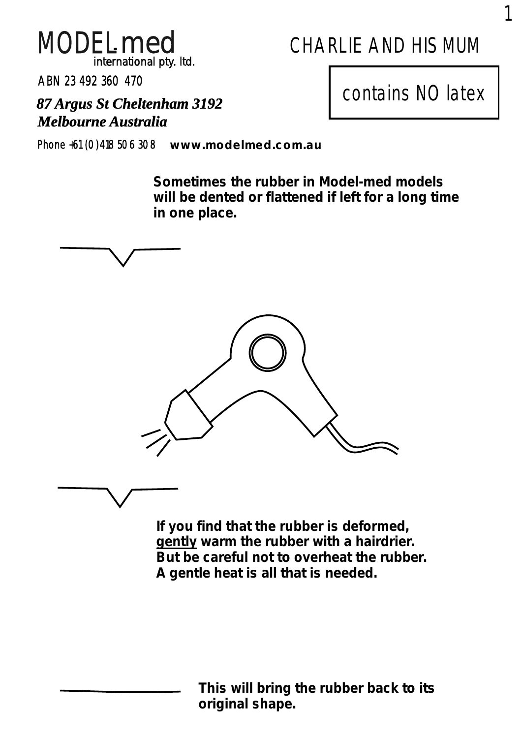

# CHARLIE AND HIS MUM

ABN 23 492 360 470

*Melbourne Australia*

*87 Argus St Cheltenham 3192* contains NO latex

Phone +61 (0)418 506 308 *www.modelmed.com.au*

**Sometimes the rubber in Model-med models will be dented or flattened if left for a long time in one place.**



**If you find that the rubber is deformed, gently warm the rubber with a hairdrier. But be careful not to overheat the rubber. A gentle heat is all that is needed.**

> **This will bring the rubber back to its original shape.**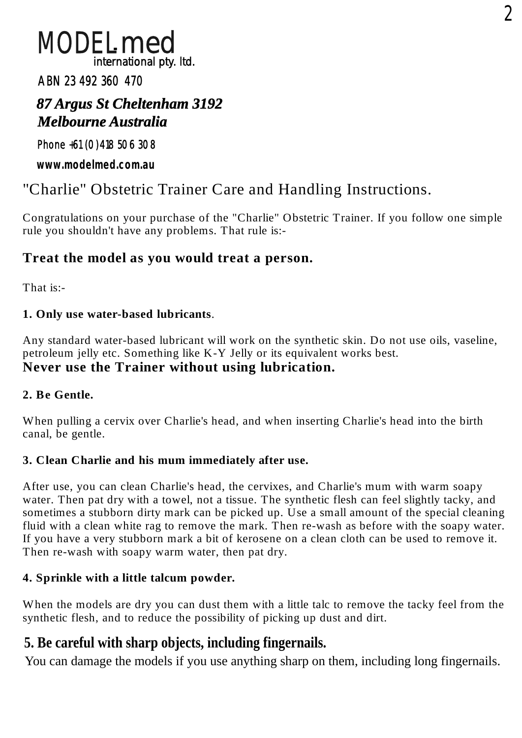## MODEL*med international pty. ltd.*

#### ABN 23 492 360 470

## *Melbourne Australia 87 Argus St Cheltenham 3192*

#### Phone +61 (0)418 506 308

**www.modelmed.com.au**

## "Charlie" Obstetric Trainer Care and Handling Instructions.

Congratulations on your purchase of the "Charlie" Obstetric Trainer. If you follow one simple rule you shouldn't have any problems. That rule is:-

## **Treat the model as you would treat a person.**

That is:-

#### **1. Only use water-based lubricants**.

Any standard water-based lubricant will work on the synthetic skin. Do not use oils, vaseline, petroleum jelly etc. Something like K-Y Jelly or its equivalent works best. **Never use the Trainer without using lubrication.**

#### **2. Be Gentle.**

When pulling a cervix over Charlie's head, and when inserting Charlie's head into the birth canal, be gentle.

#### **3. Clean Charlie and his mum immediately after use.**

After use, you can clean Charlie's head, the cervixes, and Charlie's mum with warm soapy water. Then pat dry with a towel, not a tissue. The synthetic flesh can feel slightly tacky, and sometimes a stubborn dirty mark can be picked up. Use a small amount of the special cleaning fluid with a clean white rag to remove the mark. Then re-wash as before with the soapy water. If you have a very stubborn mark a bit of kerosene on a clean cloth can be used to remove it. Then re-wash with soapy warm water, then pat dry.

#### **4. Sprinkle with a little talcum powder.**

When the models are dry you can dust them with a little talc to remove the tacky feel from the synthetic flesh, and to reduce the possibility of picking up dust and dirt.

## **5. Be careful with sharp objects, including fingernails.**

You can damage the models if you use anything sharp on them, including long fingernails.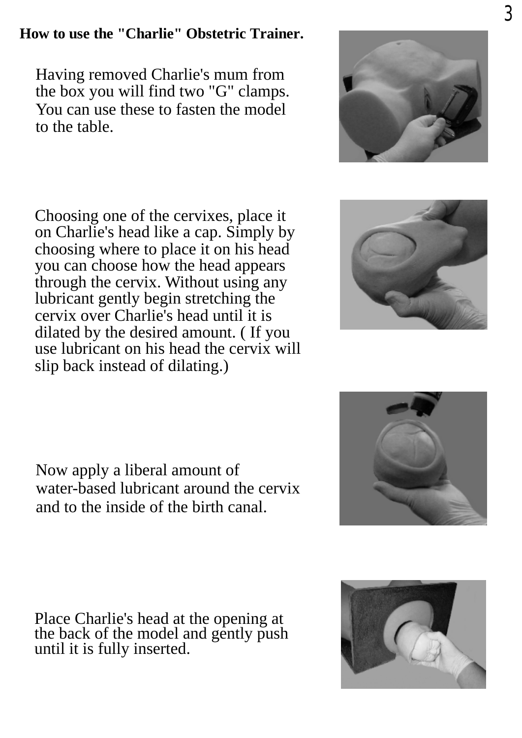## **How to use the "Charlie" Obstetric Trainer.**

Having removed Charlie's mum from the box you will find two "G" clamps. You can use these to fasten the model to the table.

Choosing one of the cervixes, place it on Charlie's head like a cap. Simply by choosing where to place it on his head you can choose how the head appears through the cervix. Without using any lubricant gently begin stretching the cervix over Charlie's head until it is dilated by the desired amount. ( If you use lubricant on his head the cervix will slip back instead of dilating.)

Now apply a liberal amount of water-based lubricant around the cervix and to the inside of the birth canal.

Place Charlie's head at the opening at the back of the model and gently push until it is fully inserted.







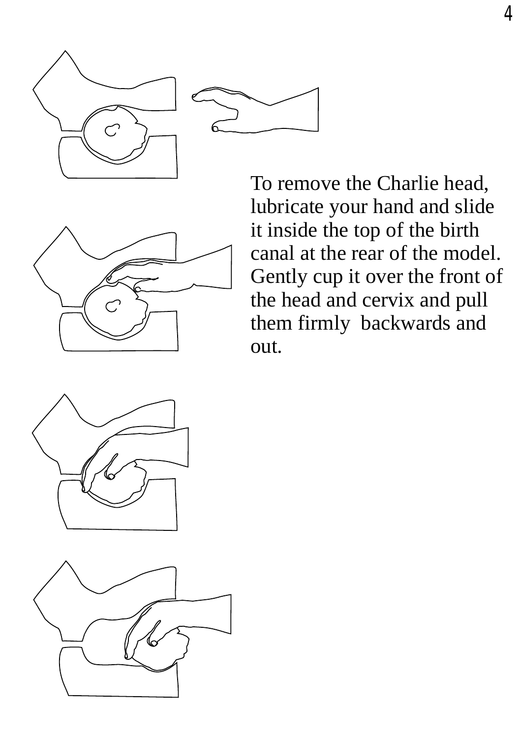

To remove the Charlie head, lubricate your hand and slide it inside the top of the birth canal at the rear of the model. Gently cup it over the front of the head and cervix and pull them firmly backwards and out.